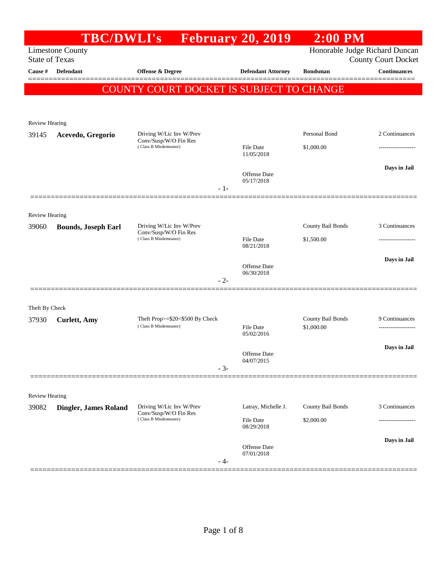|                         | <b>TBC/DWLI's</b>          |                                                   | <b>Expedience February 20, 2019</b> | $2:00$ PM         |                                                   |
|-------------------------|----------------------------|---------------------------------------------------|-------------------------------------|-------------------|---------------------------------------------------|
| <b>State of Texas</b>   | <b>Limestone County</b>    |                                                   |                                     |                   | Honorable Judge Richard Duncan                    |
| Cause #                 | Defendant                  | Offense & Degree                                  | <b>Defendant Attorney</b>           | <b>Bondsman</b>   | <b>County Court Docket</b><br><b>Continuances</b> |
|                         |                            |                                                   |                                     |                   |                                                   |
|                         |                            | COUNTY COURT DOCKET IS SUBJECT TO CHANGE          |                                     |                   |                                                   |
|                         |                            |                                                   |                                     |                   |                                                   |
| Review Hearing          |                            |                                                   |                                     |                   |                                                   |
| 39145                   | Acevedo, Gregorio          | Driving W/Lic Inv W/Prev<br>Conv/Susp/W/O Fin Res |                                     | Personal Bond     | 2 Continuances                                    |
|                         |                            | (Class B Misdemeanor)                             | File Date<br>11/05/2018             | \$1,000.00        |                                                   |
|                         |                            |                                                   |                                     |                   | Days in Jail                                      |
|                         |                            |                                                   | <b>Offense Date</b><br>05/17/2018   |                   |                                                   |
|                         |                            |                                                   | $-1-$                               |                   |                                                   |
|                         |                            |                                                   |                                     |                   |                                                   |
| <b>Review Hearing</b>   |                            |                                                   |                                     |                   |                                                   |
| 39060                   | <b>Bounds, Joseph Earl</b> | Driving W/Lic Inv W/Prev<br>Conv/Susp/W/O Fin Res |                                     | County Bail Bonds | 3 Continuances                                    |
|                         |                            | (Class B Misdemeanor)                             | File Date<br>08/21/2018             | \$1,500.00        |                                                   |
|                         |                            |                                                   |                                     |                   | Days in Jail                                      |
|                         |                            |                                                   | <b>Offense Date</b><br>06/30/2018   |                   |                                                   |
|                         |                            |                                                   | $-2-$                               |                   |                                                   |
|                         |                            |                                                   |                                     |                   |                                                   |
| Theft By Check<br>37930 | <b>Curlett</b> , Amy       | Theft Prop>=\$20<\$500 By Check                   |                                     | County Bail Bonds | 9 Continuances                                    |
|                         |                            | (Class B Misdemeanor)                             | File Date                           | \$1,000.00        |                                                   |
|                         |                            |                                                   | 05/02/2016                          |                   |                                                   |
|                         |                            |                                                   | <b>Offense Date</b><br>04/07/2015   |                   | Days in Jail                                      |
|                         |                            |                                                   | $-3-$                               |                   |                                                   |
|                         |                            |                                                   |                                     |                   |                                                   |
| Review Hearing          |                            |                                                   |                                     |                   |                                                   |
| 39082                   | Dingler, James Roland      | Driving W/Lic Inv W/Prev<br>Conv/Susp/W/O Fin Res | Latray, Michelle J.                 | County Bail Bonds | 3 Continuances                                    |
|                         |                            | (Class B Misdemeanor)                             | <b>File Date</b><br>08/29/2018      | \$2,000.00        |                                                   |
|                         |                            |                                                   |                                     |                   | Days in Jail                                      |
|                         |                            |                                                   | Offense Date<br>07/01/2018          |                   |                                                   |
|                         |                            |                                                   | - 4-                                |                   |                                                   |
|                         |                            |                                                   |                                     |                   |                                                   |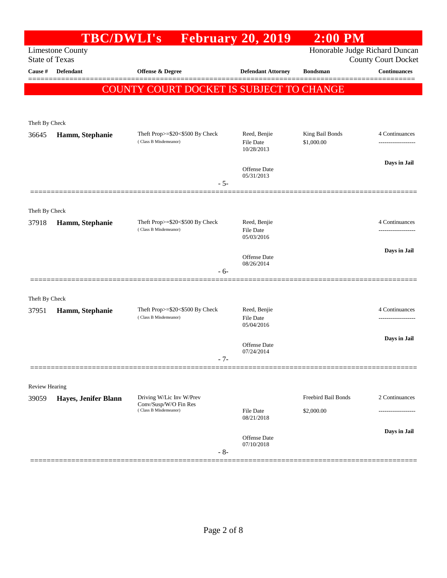|                       | <b>TBC/DWLI's</b>       |                                                                            | <b>February 20, 2019</b>          | $2:00$ PM           |                                                              |
|-----------------------|-------------------------|----------------------------------------------------------------------------|-----------------------------------|---------------------|--------------------------------------------------------------|
| <b>State of Texas</b> | <b>Limestone County</b> |                                                                            |                                   |                     | Honorable Judge Richard Duncan<br><b>County Court Docket</b> |
| Cause #               | <b>Defendant</b>        | Offense & Degree                                                           | <b>Defendant Attorney</b>         | <b>Bondsman</b>     | <b>Continuances</b>                                          |
|                       |                         | COUNTY COURT DOCKET IS SUBJECT TO CHANGE                                   |                                   |                     | =======                                                      |
|                       |                         |                                                                            |                                   |                     |                                                              |
| Theft By Check        |                         |                                                                            |                                   |                     |                                                              |
| 36645                 | Hamm, Stephanie         | Theft Prop>=\$20<\$500 By Check                                            | Reed, Benjie                      | King Bail Bonds     | 4 Continuances                                               |
|                       |                         | (Class B Misdemeanor)                                                      | <b>File Date</b><br>10/28/2013    | \$1,000.00          |                                                              |
|                       |                         |                                                                            | <b>Offense Date</b>               |                     | Days in Jail                                                 |
|                       |                         | $-5-$                                                                      | 05/31/2013                        |                     |                                                              |
|                       |                         |                                                                            |                                   |                     |                                                              |
| Theft By Check        |                         |                                                                            |                                   |                     |                                                              |
| 37918                 | Hamm, Stephanie         | Theft Prop>=\$20<\$500 By Check<br>(Class B Misdemeanor)                   | Reed, Benjie<br><b>File Date</b>  |                     | 4 Continuances<br>.                                          |
|                       |                         |                                                                            | 05/03/2016                        |                     | Days in Jail                                                 |
|                       |                         |                                                                            | <b>Offense Date</b><br>08/26/2014 |                     |                                                              |
|                       |                         | - 6-                                                                       |                                   |                     |                                                              |
| Theft By Check        |                         |                                                                            |                                   |                     |                                                              |
| 37951                 | Hamm, Stephanie         | Theft Prop>=\$20<\$500 By Check                                            | Reed, Benjie                      |                     | 4 Continuances                                               |
|                       |                         | (Class B Misdemeanor)                                                      | <b>File Date</b><br>05/04/2016    |                     | .                                                            |
|                       |                         |                                                                            | Offense Date                      |                     | Days in Jail                                                 |
|                       |                         | $-7-$                                                                      | 07/24/2014                        |                     |                                                              |
|                       |                         |                                                                            |                                   |                     |                                                              |
| <b>Review Hearing</b> |                         |                                                                            |                                   |                     |                                                              |
| 39059                 | Hayes, Jenifer Blann    | Driving W/Lic Inv W/Prev<br>Conv/Susp/W/O Fin Res<br>(Class B Misdemeanor) |                                   | Freebird Bail Bonds | 2 Continuances                                               |
|                       |                         |                                                                            | <b>File Date</b><br>08/21/2018    | \$2,000.00          | .                                                            |
|                       |                         |                                                                            | <b>Offense Date</b>               |                     | Days in Jail                                                 |
|                       |                         | $-8-$                                                                      | 07/10/2018                        |                     |                                                              |
|                       |                         |                                                                            |                                   |                     |                                                              |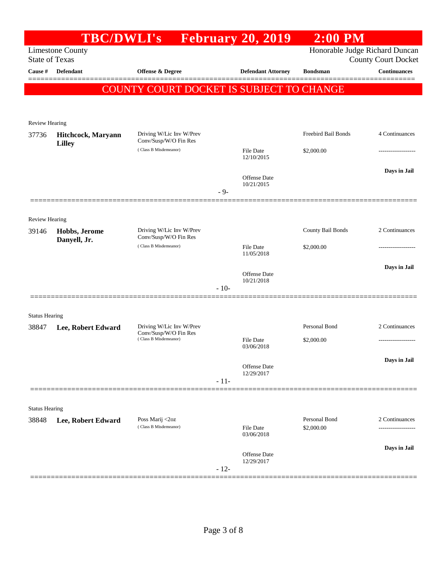| <b>Limestone County</b><br><b>State of Texas</b><br><b>Defendant</b> |                                                              |                                                                            |                            | Honorable Judge Richard Duncan                        |                                                                         |
|----------------------------------------------------------------------|--------------------------------------------------------------|----------------------------------------------------------------------------|----------------------------|-------------------------------------------------------|-------------------------------------------------------------------------|
|                                                                      |                                                              |                                                                            |                            |                                                       | <b>County Court Docket</b>                                              |
|                                                                      | <b>Offense &amp; Degree</b>                                  |                                                                            | <b>Defendant Attorney</b>  | <b>Bondsman</b>                                       | <b>Continuances</b>                                                     |
|                                                                      |                                                              |                                                                            |                            |                                                       |                                                                         |
|                                                                      |                                                              |                                                                            |                            |                                                       |                                                                         |
| <b>Review Hearing</b>                                                |                                                              |                                                                            |                            |                                                       |                                                                         |
| Hitchcock, Maryann                                                   | Driving W/Lic Inv W/Prev<br>Conv/Susp/W/O Fin Res            |                                                                            |                            | Freebird Bail Bonds                                   | 4 Continuances                                                          |
|                                                                      | (Class B Misdemeanor)                                        |                                                                            | File Date<br>12/10/2015    | \$2,000.00                                            |                                                                         |
|                                                                      |                                                              |                                                                            | Offense Date               |                                                       | Days in Jail                                                            |
|                                                                      |                                                              | $-9-$                                                                      | 10/21/2015                 |                                                       |                                                                         |
|                                                                      |                                                              |                                                                            |                            |                                                       |                                                                         |
| Hobbs, Jerome                                                        | Driving W/Lic Inv W/Prev                                     |                                                                            |                            | County Bail Bonds                                     | 2 Continuances                                                          |
| Danyell, Jr.                                                         | (Class B Misdemeanor)                                        |                                                                            | File Date                  | \$2,000.00                                            |                                                                         |
|                                                                      |                                                              |                                                                            |                            |                                                       | Days in Jail                                                            |
|                                                                      |                                                              | $-10-$                                                                     | 10/21/2018                 |                                                       |                                                                         |
|                                                                      |                                                              |                                                                            |                            |                                                       |                                                                         |
| <b>Status Hearing</b>                                                |                                                              |                                                                            |                            |                                                       |                                                                         |
|                                                                      | Conv/Susp/W/O Fin Res                                        |                                                                            |                            |                                                       | 2 Continuances                                                          |
|                                                                      |                                                              |                                                                            | 03/06/2018                 |                                                       |                                                                         |
|                                                                      |                                                              |                                                                            | Offense Date               |                                                       | Days in Jail                                                            |
|                                                                      |                                                              | $-11-$                                                                     | 12/29/2017                 |                                                       |                                                                         |
|                                                                      |                                                              |                                                                            |                            |                                                       |                                                                         |
| <b>Status Hearing</b>                                                |                                                              |                                                                            |                            |                                                       |                                                                         |
| Lee, Robert Edward                                                   | Poss Marij <2oz<br>(Class B Misdemeanor)                     |                                                                            | File Date                  | Personal Bond<br>\$2,000.00                           | 2 Continuances                                                          |
|                                                                      |                                                              |                                                                            |                            |                                                       | Days in Jail                                                            |
|                                                                      |                                                              | $-12-$                                                                     | Offense Date<br>12/29/2017 |                                                       |                                                                         |
|                                                                      | <b>Lilley</b><br><b>Review Hearing</b><br>Lee, Robert Edward | Conv/Susp/W/O Fin Res<br>Driving W/Lic Inv W/Prev<br>(Class B Misdemeanor) |                            | 11/05/2018<br>Offense Date<br>File Date<br>03/06/2018 | COUNTY COURT DOCKET IS SUBJECT TO CHANGE<br>Personal Bond<br>\$2,000.00 |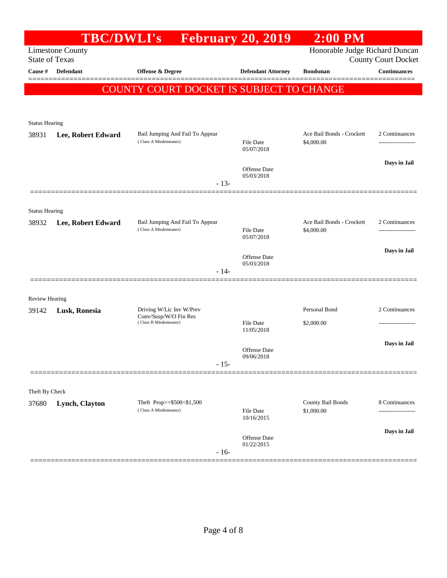|                       |                         | <b>TBC/DWLI's</b> February 20, 2019                      |                                   | $2:00$ PM                               |                            |
|-----------------------|-------------------------|----------------------------------------------------------|-----------------------------------|-----------------------------------------|----------------------------|
| <b>State of Texas</b> | <b>Limestone County</b> |                                                          |                                   | Honorable Judge Richard Duncan          | <b>County Court Docket</b> |
| Cause #               | <b>Defendant</b>        | Offense & Degree                                         | <b>Defendant Attorney</b>         | <b>Bondsman</b>                         | <b>Continuances</b>        |
|                       |                         | COUNTY COURT DOCKET IS SUBJECT TO CHANGE                 |                                   |                                         |                            |
|                       |                         |                                                          |                                   |                                         |                            |
|                       |                         |                                                          |                                   |                                         |                            |
| <b>Status Hearing</b> |                         |                                                          |                                   |                                         |                            |
| 38931                 | Lee, Robert Edward      | Bail Jumping And Fail To Appear<br>(Class A Misdemeanor) | <b>File Date</b><br>05/07/2018    | Ace Bail Bonds - Crockett<br>\$4,000.00 | 2 Continuances             |
|                       |                         |                                                          | <b>Offense Date</b>               |                                         | Days in Jail               |
|                       |                         | $-13-$                                                   | 05/03/2018                        |                                         |                            |
|                       |                         |                                                          |                                   |                                         |                            |
| <b>Status Hearing</b> |                         |                                                          |                                   |                                         |                            |
| 38932                 | Lee, Robert Edward      | Bail Jumping And Fail To Appear                          |                                   | Ace Bail Bonds - Crockett               | 2 Continuances             |
|                       |                         | (Class A Misdemeanor)                                    | <b>File Date</b><br>05/07/2018    | \$4,000.00                              |                            |
|                       |                         |                                                          |                                   |                                         | Days in Jail               |
|                       |                         |                                                          | <b>Offense Date</b><br>05/03/2018 |                                         |                            |
|                       |                         | $-14-$                                                   |                                   |                                         |                            |
|                       |                         |                                                          |                                   |                                         |                            |
| Review Hearing        |                         | Driving W/Lic Inv W/Prev                                 |                                   | Personal Bond                           | 2 Continuances             |
| 39142                 | Lusk, Ronesia           | Conv/Susp/W/O Fin Res<br>(Class B Misdemeanor)           | <b>File Date</b>                  | \$2,000.00                              | ---------------            |
|                       |                         |                                                          | 11/05/2018                        |                                         |                            |
|                       |                         |                                                          | Offense Date                      |                                         | Days in Jail               |
|                       |                         | $-15-$                                                   | 09/06/2018                        |                                         |                            |
|                       |                         |                                                          |                                   |                                         |                            |
| Theft By Check        |                         |                                                          |                                   |                                         |                            |
| 37680                 | Lynch, Clayton          | Theft Prop>=\$500<\$1,500                                |                                   | County Bail Bonds                       | 8 Continuances             |
|                       |                         | (Class A Misdemeanor)                                    | File Date<br>10/16/2015           | \$1,000.00                              | -------------              |
|                       |                         |                                                          |                                   |                                         | Days in Jail               |
|                       |                         |                                                          | Offense Date<br>01/22/2015        |                                         |                            |
|                       |                         | $-16-$                                                   |                                   |                                         |                            |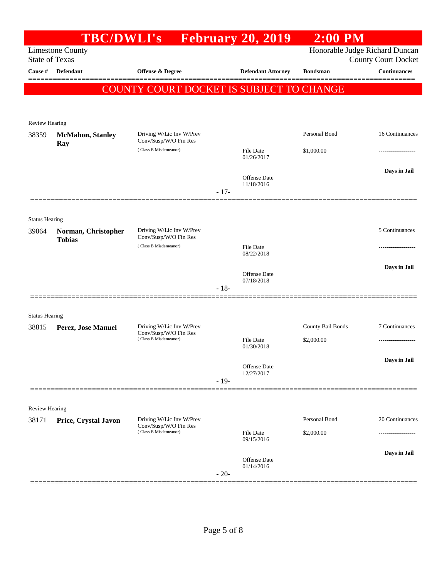|                       | <b>TBC/DWLI's</b>                    |                                                                            |        | <b>Expedience February 20, 2019</b> | $2:00$ PM                   |                                                              |
|-----------------------|--------------------------------------|----------------------------------------------------------------------------|--------|-------------------------------------|-----------------------------|--------------------------------------------------------------|
| <b>State of Texas</b> | <b>Limestone County</b>              |                                                                            |        |                                     |                             | Honorable Judge Richard Duncan<br><b>County Court Docket</b> |
| Cause #               | Defendant                            | Offense & Degree                                                           |        | <b>Defendant Attorney</b>           | <b>Bondsman</b>             | <b>Continuances</b>                                          |
|                       |                                      | COUNTY COURT DOCKET IS SUBJECT TO CHANGE                                   |        |                                     |                             |                                                              |
|                       |                                      |                                                                            |        |                                     |                             |                                                              |
| <b>Review Hearing</b> |                                      |                                                                            |        |                                     |                             |                                                              |
| 38359                 | <b>McMahon</b> , Stanley             | Driving W/Lic Inv W/Prev<br>Conv/Susp/W/O Fin Res                          |        |                                     | Personal Bond               | 16 Continuances                                              |
|                       | Ray                                  | (Class B Misdemeanor)                                                      |        | File Date<br>01/26/2017             | \$1,000.00                  |                                                              |
|                       |                                      |                                                                            |        |                                     |                             | Days in Jail                                                 |
|                       |                                      |                                                                            |        | <b>Offense Date</b><br>11/18/2016   |                             |                                                              |
|                       |                                      |                                                                            | $-17-$ |                                     |                             |                                                              |
| <b>Status Hearing</b> |                                      |                                                                            |        |                                     |                             |                                                              |
| 39064                 | Norman, Christopher<br><b>Tobias</b> | Driving W/Lic Inv W/Prev<br>Conv/Susp/W/O Fin Res                          |        |                                     |                             | 5 Continuances                                               |
|                       |                                      | (Class B Misdemeanor)                                                      |        | File Date<br>08/22/2018             |                             |                                                              |
|                       |                                      |                                                                            |        |                                     |                             | Days in Jail                                                 |
|                       |                                      |                                                                            |        | <b>Offense Date</b><br>07/18/2018   |                             |                                                              |
|                       |                                      |                                                                            | $-18-$ |                                     |                             |                                                              |
| <b>Status Hearing</b> |                                      |                                                                            |        |                                     |                             |                                                              |
| 38815                 | Perez, Jose Manuel                   | Driving W/Lic Inv W/Prev<br>Conv/Susp/W/O Fin Res                          |        |                                     | County Bail Bonds           | 7 Continuances                                               |
|                       |                                      | (Class B Misdemeanor)                                                      |        | File Date<br>01/30/2018             | \$2,000.00                  |                                                              |
|                       |                                      |                                                                            |        | Offense Date                        |                             | Days in Jail                                                 |
|                       |                                      |                                                                            | $-19-$ | 12/27/2017                          |                             |                                                              |
|                       |                                      |                                                                            |        |                                     |                             |                                                              |
| Review Hearing        |                                      |                                                                            |        |                                     |                             |                                                              |
| 38171                 | Price, Crystal Javon                 | Driving W/Lic Inv W/Prev<br>Conv/Susp/W/O Fin Res<br>(Class B Misdemeanor) |        | <b>File Date</b>                    | Personal Bond<br>\$2,000.00 | 20 Continuances                                              |
|                       |                                      |                                                                            |        | 09/15/2016                          |                             |                                                              |
|                       |                                      |                                                                            |        | <b>Offense Date</b>                 |                             | Days in Jail                                                 |
|                       |                                      |                                                                            | $-20-$ | 01/14/2016                          |                             |                                                              |
|                       |                                      |                                                                            |        |                                     |                             |                                                              |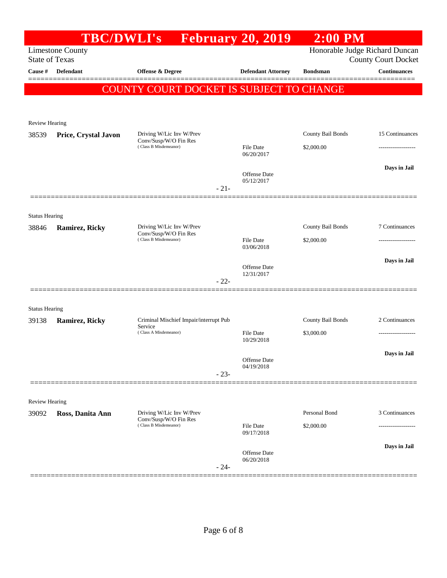|                       |                         | <b>TBC/DWLI's</b> February 20, 2019            |        |                                | $2:00$ PM                |                                |
|-----------------------|-------------------------|------------------------------------------------|--------|--------------------------------|--------------------------|--------------------------------|
|                       | <b>Limestone County</b> |                                                |        |                                |                          | Honorable Judge Richard Duncan |
| <b>State of Texas</b> |                         |                                                |        |                                |                          | <b>County Court Docket</b>     |
| Cause #               | <b>Defendant</b>        | Offense & Degree                               |        | <b>Defendant Attorney</b>      | <b>Bondsman</b>          | <b>Continuances</b>            |
|                       |                         | COUNTY COURT DOCKET IS SUBJECT TO CHANGE       |        |                                |                          |                                |
|                       |                         |                                                |        |                                |                          |                                |
| Review Hearing        |                         |                                                |        |                                |                          |                                |
| 38539                 | Price, Crystal Javon    | Driving W/Lic Inv W/Prev                       |        |                                | County Bail Bonds        | 15 Continuances                |
|                       |                         | Conv/Susp/W/O Fin Res<br>(Class B Misdemeanor) |        | File Date                      | \$2,000.00               |                                |
|                       |                         |                                                |        | 06/20/2017                     |                          |                                |
|                       |                         |                                                |        | <b>Offense</b> Date            |                          | Days in Jail                   |
|                       |                         |                                                | $-21-$ | 05/12/2017                     |                          |                                |
|                       |                         |                                                |        |                                |                          |                                |
| <b>Status Hearing</b> |                         |                                                |        |                                |                          |                                |
| 38846                 | Ramirez, Ricky          | Driving W/Lic Inv W/Prev                       |        |                                | <b>County Bail Bonds</b> | 7 Continuances                 |
|                       |                         | Conv/Susp/W/O Fin Res<br>(Class B Misdemeanor) |        | File Date                      | \$2,000.00               |                                |
|                       |                         |                                                |        | 03/06/2018                     |                          |                                |
|                       |                         |                                                |        | <b>Offense Date</b>            |                          | Days in Jail                   |
|                       |                         |                                                | $-22-$ | 12/31/2017                     |                          |                                |
|                       |                         |                                                |        |                                |                          |                                |
| <b>Status Hearing</b> |                         |                                                |        |                                |                          |                                |
| 39138                 | Ramirez, Ricky          | Criminal Mischief Impair/interrupt Pub         |        |                                | County Bail Bonds        | 2 Continuances                 |
|                       |                         | Service<br>(Class A Misdemeanor)               |        | <b>File Date</b>               | \$3,000.00               | .                              |
|                       |                         |                                                |        | 10/29/2018                     |                          |                                |
|                       |                         |                                                |        | Offense Date                   |                          | Days in Jail                   |
|                       |                         |                                                | $-23-$ | 04/19/2018                     |                          |                                |
|                       |                         |                                                |        |                                |                          |                                |
| Review Hearing        |                         |                                                |        |                                |                          |                                |
| 39092                 | Ross, Danita Ann        | Driving W/Lic Inv W/Prev                       |        |                                | Personal Bond            | 3 Continuances                 |
|                       |                         | Conv/Susp/W/O Fin Res<br>(Class B Misdemeanor) |        | <b>File Date</b><br>09/17/2018 | \$2,000.00               |                                |
|                       |                         |                                                |        |                                |                          |                                |
|                       |                         |                                                |        | Offense Date                   |                          | Days in Jail                   |
|                       |                         |                                                | $-24-$ | 06/20/2018                     |                          |                                |
|                       |                         |                                                |        |                                |                          |                                |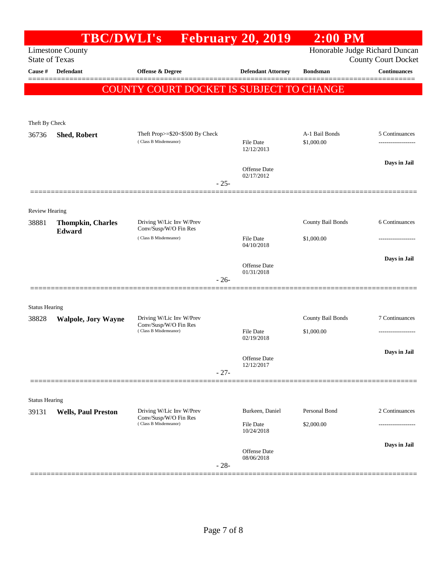|                                                  | <b>TBC/DWLI's</b>                  |                                                   | <b>February 20, 2019</b>          | $2:00$ PM                                                    |                               |
|--------------------------------------------------|------------------------------------|---------------------------------------------------|-----------------------------------|--------------------------------------------------------------|-------------------------------|
| <b>Limestone County</b><br><b>State of Texas</b> |                                    |                                                   |                                   | Honorable Judge Richard Duncan<br><b>County Court Docket</b> |                               |
| Cause #                                          | <b>Defendant</b>                   | <b>Offense &amp; Degree</b>                       | <b>Defendant Attorney</b>         | <b>Bondsman</b>                                              | <b>Continuances</b><br>====== |
|                                                  |                                    | COUNTY COURT DOCKET IS SUBJECT TO CHANGE          |                                   |                                                              |                               |
|                                                  |                                    |                                                   |                                   |                                                              |                               |
| Theft By Check                                   |                                    |                                                   |                                   |                                                              |                               |
| 36736                                            | Shed, Robert                       | Theft Prop>=\$20<\$500 By Check                   |                                   | A-1 Bail Bonds                                               | 5 Continuances                |
|                                                  |                                    | (Class B Misdemeanor)                             | File Date<br>12/12/2013           | \$1,000.00                                                   | ------------------            |
|                                                  |                                    |                                                   | Offense Date                      |                                                              | Days in Jail                  |
|                                                  |                                    | $-25-$                                            | 02/17/2012                        |                                                              |                               |
|                                                  |                                    |                                                   |                                   |                                                              |                               |
| Review Hearing                                   |                                    |                                                   |                                   |                                                              |                               |
| 38881                                            | <b>Thompkin, Charles</b><br>Edward | Driving W/Lic Inv W/Prev<br>Conv/Susp/W/O Fin Res |                                   | County Bail Bonds                                            | 6 Continuances                |
|                                                  |                                    | (Class B Misdemeanor)                             | File Date<br>04/10/2018           | \$1,000.00                                                   |                               |
|                                                  |                                    |                                                   |                                   |                                                              | Days in Jail                  |
|                                                  |                                    |                                                   | <b>Offense</b> Date<br>01/31/2018 |                                                              |                               |
|                                                  |                                    | $-26-$                                            |                                   |                                                              |                               |
| <b>Status Hearing</b>                            |                                    |                                                   |                                   |                                                              |                               |
| 38828                                            | <b>Walpole, Jory Wayne</b>         | Driving W/Lic Inv W/Prev<br>Conv/Susp/W/O Fin Res |                                   | County Bail Bonds                                            | 7 Continuances                |
|                                                  |                                    | (Class B Misdemeanor)                             | File Date<br>02/19/2018           | \$1,000.00                                                   | -------------------           |
|                                                  |                                    |                                                   |                                   |                                                              | Days in Jail                  |
|                                                  |                                    |                                                   | Offense Date<br>12/12/2017        |                                                              |                               |
|                                                  |                                    | $-27-$                                            |                                   |                                                              |                               |
| <b>Status Hearing</b>                            |                                    |                                                   |                                   |                                                              |                               |
| 39131                                            | <b>Wells, Paul Preston</b>         | Driving W/Lic Inv W/Prev                          | Burkeen, Daniel                   | Personal Bond                                                | 2 Continuances                |
|                                                  |                                    | Conv/Susp/W/O Fin Res<br>(Class B Misdemeanor)    | <b>File Date</b><br>10/24/2018    | \$2,000.00                                                   |                               |
|                                                  |                                    |                                                   |                                   |                                                              | Days in Jail                  |
|                                                  |                                    |                                                   | Offense Date<br>08/06/2018        |                                                              |                               |
|                                                  |                                    | $-28-$                                            |                                   |                                                              |                               |